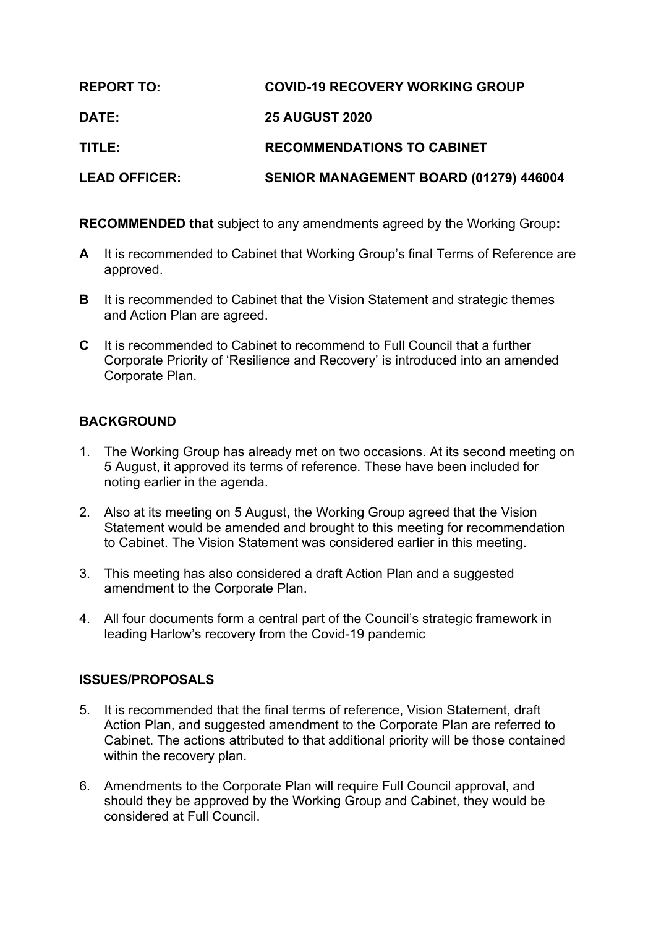| <b>REPORT TO:</b>    | <b>COVID-19 RECOVERY WORKING GROUP</b> |
|----------------------|----------------------------------------|
| <b>DATE:</b>         | <b>25 AUGUST 2020</b>                  |
| TITLE:               | <b>RECOMMENDATIONS TO CABINET</b>      |
| <b>LEAD OFFICER:</b> | SENIOR MANAGEMENT BOARD (01279) 446004 |

**RECOMMENDED that** subject to any amendments agreed by the Working Group**:**

- **A** It is recommended to Cabinet that Working Group's final Terms of Reference are approved.
- **B** It is recommended to Cabinet that the Vision Statement and strategic themes and Action Plan are agreed.
- **C** It is recommended to Cabinet to recommend to Full Council that a further Corporate Priority of 'Resilience and Recovery' is introduced into an amended Corporate Plan.

# **BACKGROUND**

- 1. The Working Group has already met on two occasions. At its second meeting on 5 August, it approved its terms of reference. These have been included for noting earlier in the agenda.
- 2. Also at its meeting on 5 August, the Working Group agreed that the Vision Statement would be amended and brought to this meeting for recommendation to Cabinet. The Vision Statement was considered earlier in this meeting.
- 3. This meeting has also considered a draft Action Plan and a suggested amendment to the Corporate Plan.
- 4. All four documents form a central part of the Council's strategic framework in leading Harlow's recovery from the Covid-19 pandemic

## **ISSUES/PROPOSALS**

- 5. It is recommended that the final terms of reference, Vision Statement, draft Action Plan, and suggested amendment to the Corporate Plan are referred to Cabinet. The actions attributed to that additional priority will be those contained within the recovery plan.
- 6. Amendments to the Corporate Plan will require Full Council approval, and should they be approved by the Working Group and Cabinet, they would be considered at Full Council.